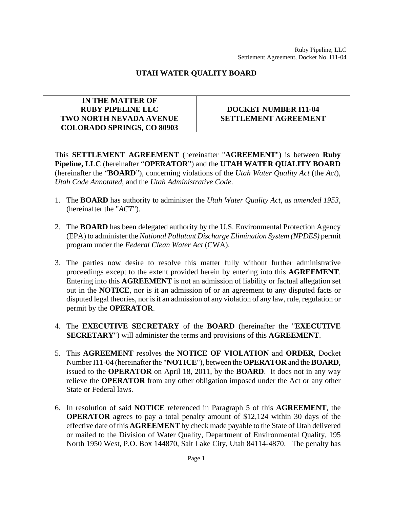## **UTAH WATER QUALITY BOARD**

## **IN THE MATTER OF RUBY PIPELINE LLC TWO NORTH NEVADA AVENUE COLORADO SPRINGS, CO 80903**

## **DOCKET NUMBER I11-04 SETTLEMENT AGREEMENT**

This **SETTLEMENT AGREEMENT** (hereinafter "**AGREEMENT**") is between **Ruby Pipeline, LLC** (hereinafter "**OPERATOR**") and the **UTAH WATER QUALITY BOARD** (hereinafter the "**BOARD**"), concerning violations of the *Utah Water Quality Act* (the *Act*), *Utah Code Annotated*, and the *Utah Administrative Code*.

- 1. The **BOARD** has authority to administer the *Utah Water Quality Act, as amended 1953*, (hereinafter the "*ACT*").
- 2. The **BOARD** has been delegated authority by the U.S. Environmental Protection Agency (EPA) to administer the *National Pollutant Discharge Elimination System (NPDES)* permit program under the *Federal Clean Water Act* (CWA).
- 3. The parties now desire to resolve this matter fully without further administrative proceedings except to the extent provided herein by entering into this **AGREEMENT**. Entering into this **AGREEMENT** is not an admission of liability or factual allegation set out in the **NOTICE**, nor is it an admission of or an agreement to any disputed facts or disputed legal theories, nor is it an admission of any violation of any law, rule, regulation or permit by the **OPERATOR**.
- 4. The **EXECUTIVE SECRETARY** of the **BOARD** (hereinafter the "**EXECUTIVE SECRETARY**") will administer the terms and provisions of this **AGREEMENT**.
- 5. This **AGREEMENT** resolves the **NOTICE OF VIOLATION** and **ORDER**, Docket Number I11-04 (hereinafter the "**NOTICE**"), between the **OPERATOR** and the **BOARD**, issued to the **OPERATOR** on April 18, 2011, by the **BOARD**. It does not in any way relieve the **OPERATOR** from any other obligation imposed under the Act or any other State or Federal laws.
- 6. In resolution of said **NOTICE** referenced in Paragraph 5 of this **AGREEMENT**, the **OPERATOR** agrees to pay a total penalty amount of \$12,124 within 30 days of the effective date of this **AGREEMENT** by check made payable to the State of Utah delivered or mailed to the Division of Water Quality, Department of Environmental Quality, 195 North 1950 West, P.O. Box 144870, Salt Lake City, Utah 84114-4870. The penalty has